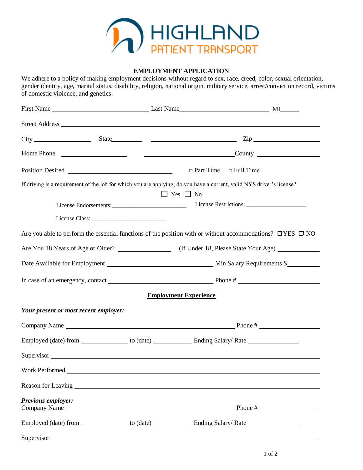

## **EMPLOYMENT APPLICATION**

We adhere to a policy of making employment decisions without regard to sex, race, creed, color, sexual orientation, gender identity, age, marital status, disability, religion, national origin, military service, arrest/conviction record, victims of domestic violence, and genetics.

|                                                                                                                                                                                                                                |  | $\Box$ Part Time $\Box$ Full Time |  |
|--------------------------------------------------------------------------------------------------------------------------------------------------------------------------------------------------------------------------------|--|-----------------------------------|--|
| If driving is a requirement of the job for which you are applying, do you have a current, valid NYS driver's license?                                                                                                          |  | $\Box$ Yes $\Box$ No              |  |
|                                                                                                                                                                                                                                |  |                                   |  |
|                                                                                                                                                                                                                                |  |                                   |  |
| Are you able to perform the essential functions of the position with or without accommodations? $\Box$ YES $\Box$ NO                                                                                                           |  |                                   |  |
| Are You 18 Years of Age or Older? (If Under 18, Please State Your Age)                                                                                                                                                         |  |                                   |  |
|                                                                                                                                                                                                                                |  |                                   |  |
|                                                                                                                                                                                                                                |  |                                   |  |
|                                                                                                                                                                                                                                |  | <b>Employment Experience</b>      |  |
| Your present or most recent employer:                                                                                                                                                                                          |  |                                   |  |
| Company Name Phone #                                                                                                                                                                                                           |  |                                   |  |
|                                                                                                                                                                                                                                |  |                                   |  |
| Supervisor                                                                                                                                                                                                                     |  |                                   |  |
| Work Performed                                                                                                                                                                                                                 |  |                                   |  |
| Reason for Leaving Leasen and the set of the set of the set of the set of the set of the set of the set of the set of the set of the set of the set of the set of the set of the set of the set of the set of the set of the s |  |                                   |  |
| Previous employer:<br>Company Name Phone #                                                                                                                                                                                     |  |                                   |  |
|                                                                                                                                                                                                                                |  |                                   |  |
| Supervisor                                                                                                                                                                                                                     |  |                                   |  |